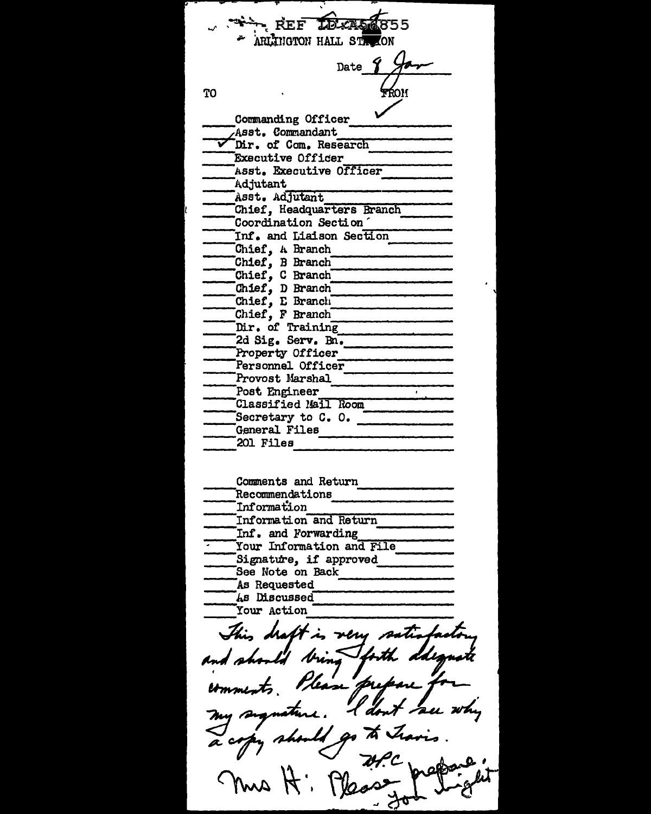TELCAR **REF** ARLINGTON HALL STR Date **TO** Commanding Officer Asst. Commandant Dir. of Com. Research Executive Officer Asst. Executive Officer Adjutant Asst. Adjutant Chief, Headquarters Branch Coordination Section Inf. and Liaison Section Chief, A Branch Chief, B Branch Chief, C Branch Chief, D Branch Chief, E Branch Chief, F Branch Dir. of Training 2d Sig. Serv. Bn. Property Officer Personnel Officer Provost Marshal Post Engineer Classified Mail Room Secretary to  $C. 0.$ General Files 201 Files Comments and Return Recommendations Information Information and Return Inf. and Forwarding Your Information and File Signature, if approved See Note on Back As Requested As Discussed Your Action  $\lambda$ tt in veru satis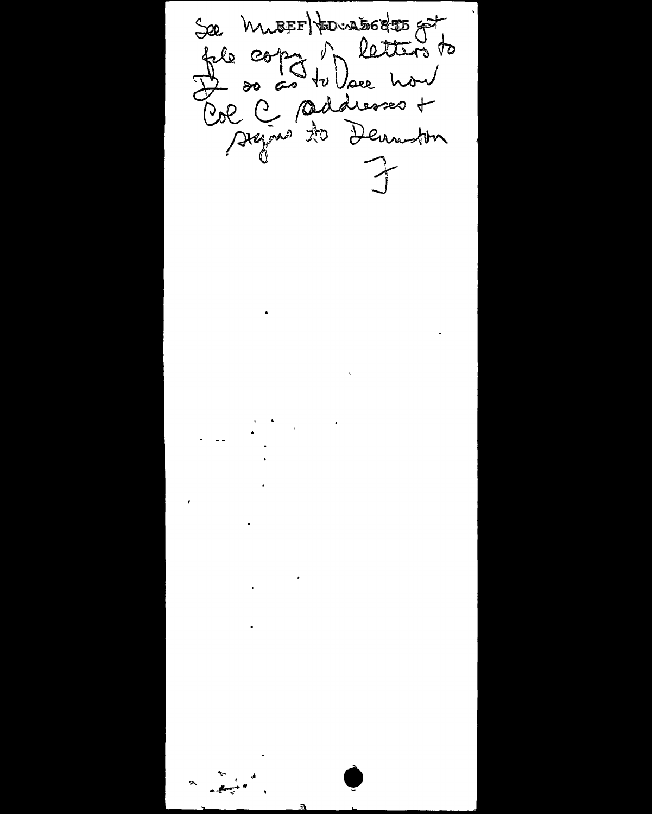See Musson detters to  $\rightarrow$  $\sum_{i=1}^{n}$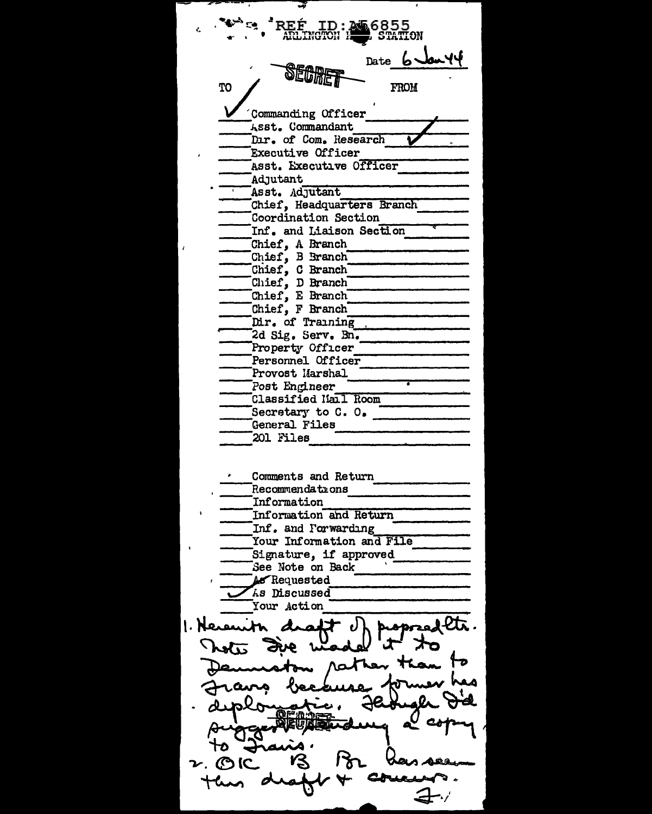16855 Date 心冰气 ጥበ **FROM** Commanding Officer Asst. Commandant Dır. of Com. Research Executive Officer Asst. Executive Officer Adjutant Asst. Adjutant Chief, Headquarters Branch Coordination Section Inf. and Liaison Section Chief, A Branch Chief, B Branch Chief, C Branch Chief, D Branch Chief, E Branch Chief, F Branch Dir. of Training 2d Sig. Serv. Bn. Property Officer Personnel Officer Provost Marshal Post Engineer Classified Mail Room Secretary to C. O. General Files 201 Files Comments and Return Recommendations Information Information and Return Inf. and Forwarding Your Information and File Signature, if approved See Note on Back As Requested As Discussed Your Action alltr. 1. Heren Tota  $\nu$  MC